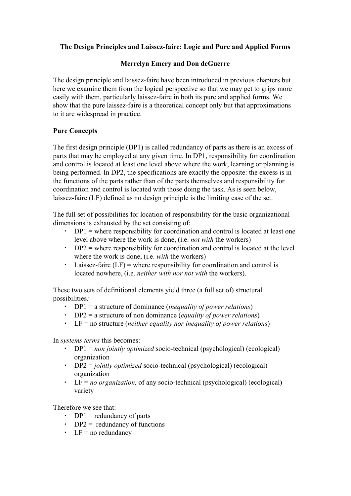# **The Design Principles and Laissez-faire: Logic and Pure and Applied Forms**

# **Merrelyn Emery and Don deGuerre**

The design principle and laissez-faire have been introduced in previous chapters but here we examine them from the logical perspective so that we may get to grips more easily with them, particularly laissez-faire in both its pure and applied forms. We show that the pure laissez-faire is a theoretical concept only but that approximations to it are widespread in practice.

# **Pure Concepts**

The first design principle (DP1) is called redundancy of parts as there is an excess of parts that may be employed at any given time. In DP1, responsibility for coordination and control is located at least one level above where the work, learning or planning is being performed. In DP2, the specifications are exactly the opposite: the excess is in the functions of the parts rather than of the parts themselves and responsibility for coordination and control is located with those doing the task. As is seen below, laissez-faire (LF) defined as no design principle is the limiting case of the set.

The full set of possibilities for location of responsibility for the basic organizational dimensions is exhausted by the set consisting of:

- $\cdot$  DP1 = where responsibility for coordination and control is located at least one level above where the work is done, (i.e. *not with* the workers)
- $\cdot$  DP2 = where responsibility for coordination and control is located at the level where the work is done, (i.e. *with* the workers)
- $\cdot$  Laissez-faire (LF) = where responsibility for coordination and control is located nowhere, (i.e. *neither with nor not with* the workers).

These two sets of definitional elements yield three (a full set of) structural possibilities*:*

- DP1 = a structure of dominance (*inequality of power relations*)
- DP2 = a structure of non dominance (*equality of power relations*)
- LF = no structure (*neither equality nor inequality of power relations*)

In *systems terms* this becomes:

- DP1 = *non jointly optimized* socio-technical (psychological) (ecological) organization
- DP2 = *jointly optimized* socio-technical (psychological) (ecological) organization
- LF = *no organization,* of any socio-technical (psychological) (ecological) variety

Therefore we see that:

- $\cdot$  DP1 = redundancy of parts
- $\cdot$  DP2 = redundancy of functions
- $\cdot$  LF = no redundancy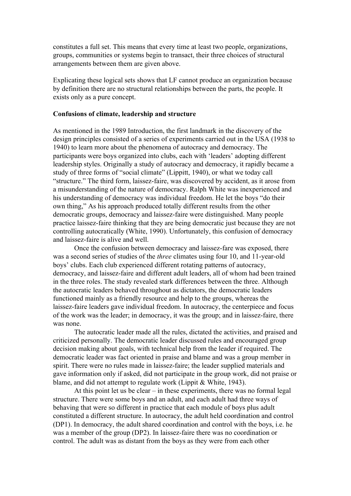constitutes a full set. This means that every time at least two people, organizations, groups, communities or systems begin to transact, their three choices of structural arrangements between them are given above.

Explicating these logical sets shows that LF cannot produce an organization because by definition there are no structural relationships between the parts, the people. It exists only as a pure concept.

#### **Confusions of climate, leadership and structure**

As mentioned in the 1989 Introduction, the first landmark in the discovery of the design principles consisted of a series of experiments carried out in the USA (1938 to 1940) to learn more about the phenomena of autocracy and democracy. The participants were boys organized into clubs, each with 'leaders' adopting different leadership styles. Originally a study of autocracy and democracy, it rapidly became a study of three forms of "social climate" (Lippitt, 1940), or what we today call "structure." The third form, laissez-faire, was discovered by accident, as it arose from a misunderstanding of the nature of democracy. Ralph White was inexperienced and his understanding of democracy was individual freedom. He let the boys "do their own thing," As his approach produced totally different results from the other democratic groups, democracy and laissez-faire were distinguished. Many people practice laissez-faire thinking that they are being democratic just because they are not controlling autocratically (White, 1990). Unfortunately, this confusion of democracy and laissez-faire is alive and well.

Once the confusion between democracy and laissez-fare was exposed, there was a second series of studies of the *three* climates using four 10, and 11-year-old boys' clubs. Each club experienced different rotating patterns of autocracy, democracy, and laissez-faire and different adult leaders, all of whom had been trained in the three roles. The study revealed stark differences between the three. Although the autocratic leaders behaved throughout as dictators, the democratic leaders functioned mainly as a friendly resource and help to the groups, whereas the laissez-faire leaders gave individual freedom. In autocracy, the centerpiece and focus of the work was the leader; in democracy, it was the group; and in laissez-faire, there was none.

The autocratic leader made all the rules, dictated the activities, and praised and criticized personally. The democratic leader discussed rules and encouraged group decision making about goals, with technical help from the leader if required. The democratic leader was fact oriented in praise and blame and was a group member in spirit. There were no rules made in laissez-faire; the leader supplied materials and gave information only if asked, did not participate in the group work, did not praise or blame, and did not attempt to regulate work (Lippit & White, 1943).

At this point let us be clear – in these experiments, there was no formal legal structure. There were some boys and an adult, and each adult had three ways of behaving that were so different in practice that each module of boys plus adult constituted a different structure. In autocracy, the adult held coordination and control (DP1). In democracy, the adult shared coordination and control with the boys, i.e. he was a member of the group (DP2). In laissez-faire there was no coordination or control. The adult was as distant from the boys as they were from each other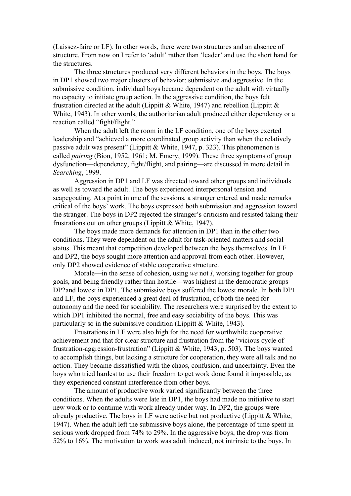(Laissez-faire or LF). In other words, there were two structures and an absence of structure. From now on I refer to 'adult' rather than 'leader' and use the short hand for the structures.

The three structures produced very different behaviors in the boys. The boys in DP1 showed two major clusters of behavior: submissive and aggressive. In the submissive condition, individual boys became dependent on the adult with virtually no capacity to initiate group action. In the aggressive condition, the boys felt frustration directed at the adult (Lippitt & White, 1947) and rebellion (Lippitt  $\&$ White, 1943). In other words, the authoritarian adult produced either dependency or a reaction called "fight/flight."

When the adult left the room in the LF condition, one of the boys exerted leadership and "achieved a more coordinated group activity than when the relatively passive adult was present" (Lippitt & White, 1947, p. 323). This phenomenon is called *pairing* (Bion, 1952, 1961; M. Emery, 1999). These three symptoms of group dysfunction—dependency, fight/flight, and pairing—are discussed in more detail in *Searching*, 1999.

Aggression in DP1 and LF was directed toward other groups and individuals as well as toward the adult. The boys experienced interpersonal tension and scapegoating. At a point in one of the sessions, a stranger entered and made remarks critical of the boys' work. The boys expressed both submission and aggression toward the stranger. The boys in DP2 rejected the stranger's criticism and resisted taking their frustrations out on other groups (Lippitt & White, 1947).

The boys made more demands for attention in DP1 than in the other two conditions. They were dependent on the adult for task-oriented matters and social status. This meant that competition developed between the boys themselves. In LF and DP2, the boys sought more attention and approval from each other. However, only DP2 showed evidence of stable cooperative structure.

Morale—in the sense of cohesion, using *we* not *I*, working together for group goals, and being friendly rather than hostile—was highest in the democratic groups DP2and lowest in DP1. The submissive boys suffered the lowest morale. In both DP1 and LF, the boys experienced a great deal of frustration, of both the need for autonomy and the need for sociability. The researchers were surprised by the extent to which DP1 inhibited the normal, free and easy sociability of the boys. This was particularly so in the submissive condition (Lippitt & White, 1943).

Frustrations in LF were also high for the need for worthwhile cooperative achievement and that for clear structure and frustration from the "vicious cycle of frustration-aggression-frustration" (Lippitt & White, 1943, p. 503). The boys wanted to accomplish things, but lacking a structure for cooperation, they were all talk and no action. They became dissatisfied with the chaos, confusion, and uncertainty. Even the boys who tried hardest to use their freedom to get work done found it impossible, as they experienced constant interference from other boys.

The amount of productive work varied significantly between the three conditions. When the adults were late in DP1, the boys had made no initiative to start new work or to continue with work already under way. In DP2, the groups were already productive. The boys in LF were active but not productive (Lippitt  $\&$  White, 1947). When the adult left the submissive boys alone, the percentage of time spent in serious work dropped from 74% to 29%. In the aggressive boys, the drop was from 52% to 16%. The motivation to work was adult induced, not intrinsic to the boys. In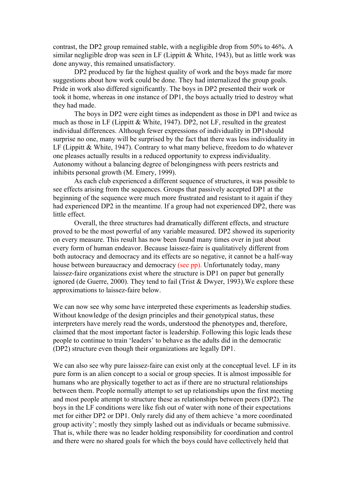contrast, the DP2 group remained stable, with a negligible drop from 50% to 46%. A similar negligible drop was seen in LF (Lippitt & White, 1943), but as little work was done anyway, this remained unsatisfactory.

DP2 produced by far the highest quality of work and the boys made far more suggestions about how work could be done. They had internalized the group goals. Pride in work also differed significantly. The boys in DP2 presented their work or took it home, whereas in one instance of DP1, the boys actually tried to destroy what they had made.

The boys in DP2 were eight times as independent as those in DP1 and twice as much as those in LF (Lippitt & White, 1947). DP2, not LF, resulted in the greatest individual differences. Although fewer expressions of individuality in DP1should surprise no one, many will be surprised by the fact that there was less individuality in LF (Lippitt & White, 1947). Contrary to what many believe, freedom to do whatever one pleases actually results in a reduced opportunity to express individuality. Autonomy without a balancing degree of belongingness with peers restricts and inhibits personal growth (M. Emery, 1999).

As each club experienced a different sequence of structures, it was possible to see effects arising from the sequences. Groups that passively accepted DP1 at the beginning of the sequence were much more frustrated and resistant to it again if they had experienced DP2 in the meantime. If a group had not experienced DP2, there was little effect.

Overall, the three structures had dramatically different effects, and structure proved to be the most powerful of any variable measured. DP2 showed its superiority on every measure. This result has now been found many times over in just about every form of human endeavor. Because laissez-faire is qualitatively different from both autocracy and democracy and its effects are so negative, it cannot be a half-way house between bureaucracy and democracy (see pp). Unfortunately today, many laissez-faire organizations exist where the structure is DP1 on paper but generally ignored (de Guerre, 2000). They tend to fail (Trist & Dwyer, 1993).We explore these approximations to laissez-faire below.

We can now see why some have interpreted these experiments as leadership studies. Without knowledge of the design principles and their genotypical status, these interpreters have merely read the words, understood the phenotypes and, therefore, claimed that the most important factor is leadership. Following this logic leads these people to continue to train 'leaders' to behave as the adults did in the democratic (DP2) structure even though their organizations are legally DP1.

We can also see why pure laissez-faire can exist only at the conceptual level. LF in its pure form is an alien concept to a social or group species. It is almost impossible for humans who are physically together to act as if there are no structural relationships between them. People normally attempt to set up relationships upon the first meeting and most people attempt to structure these as relationships between peers (DP2). The boys in the LF conditions were like fish out of water with none of their expectations met for either DP2 or DP1. Only rarely did any of them achieve 'a more coordinated group activity'; mostly they simply lashed out as individuals or became submissive. That is, while there was no leader holding responsibility for coordination and control and there were no shared goals for which the boys could have collectively held that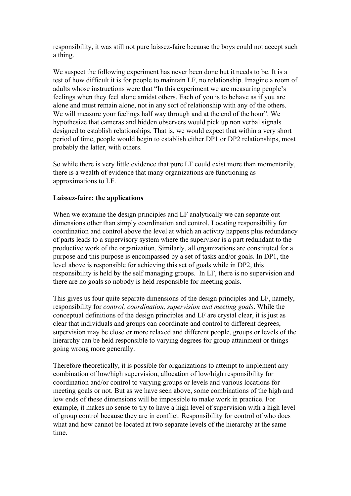responsibility, it was still not pure laissez-faire because the boys could not accept such a thing.

We suspect the following experiment has never been done but it needs to be. It is a test of how difficult it is for people to maintain LF, no relationship. Imagine a room of adults whose instructions were that "In this experiment we are measuring people's feelings when they feel alone amidst others. Each of you is to behave as if you are alone and must remain alone, not in any sort of relationship with any of the others. We will measure your feelings half way through and at the end of the hour". We hypothesize that cameras and hidden observers would pick up non verbal signals designed to establish relationships. That is, we would expect that within a very short period of time, people would begin to establish either DP1 or DP2 relationships, most probably the latter, with others.

So while there is very little evidence that pure LF could exist more than momentarily, there is a wealth of evidence that many organizations are functioning as approximations to LF.

#### **Laissez-faire: the applications**

When we examine the design principles and LF analytically we can separate out dimensions other than simply coordination and control. Locating responsibility for coordination and control above the level at which an activity happens plus redundancy of parts leads to a supervisory system where the supervisor is a part redundant to the productive work of the organization. Similarly, all organizations are constituted for a purpose and this purpose is encompassed by a set of tasks and/or goals. In DP1, the level above is responsible for achieving this set of goals while in DP2, this responsibility is held by the self managing groups. In LF, there is no supervision and there are no goals so nobody is held responsible for meeting goals.

This gives us four quite separate dimensions of the design principles and LF, namely, responsibility for *control, coordination, supervision and meeting goals*. While the conceptual definitions of the design principles and LF are crystal clear, it is just as clear that individuals and groups can coordinate and control to different degrees, supervision may be close or more relaxed and different people, groups or levels of the hierarchy can be held responsible to varying degrees for group attainment or things going wrong more generally.

Therefore theoretically, it is possible for organizations to attempt to implement any combination of low/high supervision, allocation of low/high responsibility for coordination and/or control to varying groups or levels and various locations for meeting goals or not. But as we have seen above, some combinations of the high and low ends of these dimensions will be impossible to make work in practice. For example, it makes no sense to try to have a high level of supervision with a high level of group control because they are in conflict. Responsibility for control of who does what and how cannot be located at two separate levels of the hierarchy at the same time.